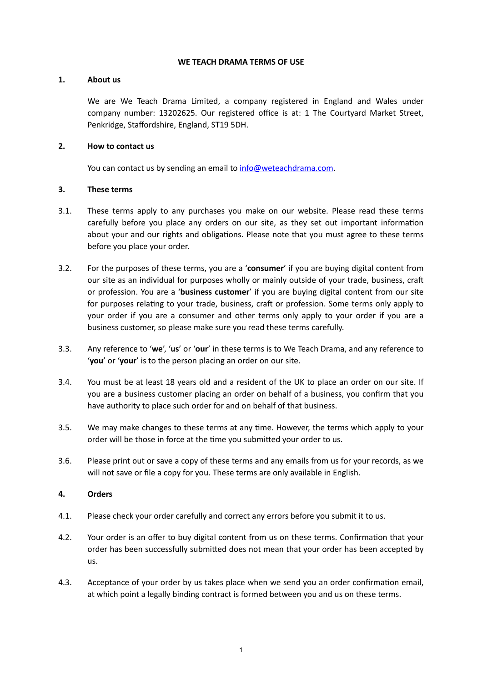#### **WE TEACH DRAMA TERMS OF USE**

#### **1. About us**

We are We Teach Drama Limited, a company registered in England and Wales under company number: 13202625. Our registered office is at: 1 The Courtyard Market Street, Penkridge, Staffordshire, England, ST19 5DH.

## **2. How to contact us**

You can contact us by sending an email to [info@weteachdrama.com](mailto:info@weteachdrama.com).

## **3. These terms**

- 3.1. These terms apply to any purchases you make on our website. Please read these terms carefully before you place any orders on our site, as they set out important information about your and our rights and obligations. Please note that you must agree to these terms before you place your order.
- 3.2. For the purposes of these terms, you are a '**consumer**' if you are buying digital content from our site as an individual for purposes wholly or mainly outside of your trade, business, craft or profession. You are a '**business customer**' if you are buying digital content from our site for purposes relating to your trade, business, craft or profession. Some terms only apply to your order if you are a consumer and other terms only apply to your order if you are a business customer, so please make sure you read these terms carefully.
- 3.3. Any reference to '**we**', '**us**' or '**our**' in these terms is to We Teach Drama, and any reference to '**you**' or '**your**' is to the person placing an order on our site.
- 3.4. You must be at least 18 years old and a resident of the UK to place an order on our site. If you are a business customer placing an order on behalf of a business, you confirm that you have authority to place such order for and on behalf of that business.
- 3.5. We may make changes to these terms at any time. However, the terms which apply to your order will be those in force at the time you submitted your order to us.
- 3.6. Please print out or save a copy of these terms and any emails from us for your records, as we will not save or file a copy for you. These terms are only available in English.

# **4. Orders**

- 4.1. Please check your order carefully and correct any errors before you submit it to us.
- 4.2. Your order is an offer to buy digital content from us on these terms. Confirmation that your order has been successfully submitted does not mean that your order has been accepted by us.
- 4.3. Acceptance of your order by us takes place when we send you an order confirmation email, at which point a legally binding contract is formed between you and us on these terms.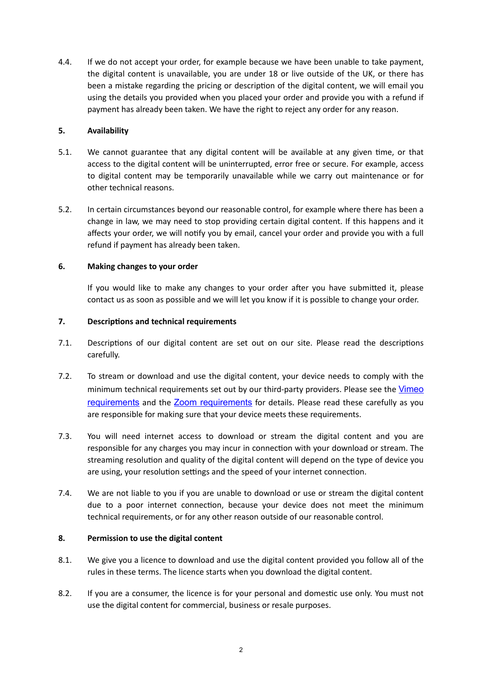4.4. If we do not accept your order, for example because we have been unable to take payment, the digital content is unavailable, you are under 18 or live outside of the UK, or there has been a mistake regarding the pricing or description of the digital content, we will email you using the details you provided when you placed your order and provide you with a refund if payment has already been taken. We have the right to reject any order for any reason.

## **5. Availability**

- 5.1. We cannot guarantee that any digital content will be available at any given time, or that access to the digital content will be uninterrupted, error free or secure. For example, access to digital content may be temporarily unavailable while we carry out maintenance or for other technical reasons.
- 5.2. In certain circumstances beyond our reasonable control, for example where there has been a change in law, we may need to stop providing certain digital content. If this happens and it affects your order, we will notify you by email, cancel your order and provide you with a full refund if payment has already been taken.

## **6. Making changes to your order**

If you would like to make any changes to your order after you have submitted it, please contact us as soon as possible and we will let you know if it is possible to change your order.

## **7. Descriptions and technical requirements**

- 7.1. Descriptions of our digital content are set out on our site. Please read the descriptions carefully.
- 7.2. To stream or download and use the digital content, your device needs to comply with the minimum technical requirements set out by our third-party providers. Please see the [Vimeo](https://vimeo.zendesk.com/hc/en-us/articles/360001624108-System-Requirements-for-viewing-browsing-and-apps) [requirements](https://vimeo.zendesk.com/hc/en-us/articles/360001624108-System-Requirements-for-viewing-browsing-and-apps) and the [Zoom requirements](https://support.zoom.us/hc/en-us/articles/201362023-System-requirements-for-Windows-macOS-and-Linux) for details. Please read these carefully as you are responsible for making sure that your device meets these requirements.
- 7.3. You will need internet access to download or stream the digital content and you are responsible for any charges you may incur in connection with your download or stream. The streaming resolution and quality of the digital content will depend on the type of device you are using, your resolution settings and the speed of your internet connection.
- 7.4. We are not liable to you if you are unable to download or use or stream the digital content due to a poor internet connection, because your device does not meet the minimum technical requirements, or for any other reason outside of our reasonable control.

# <span id="page-1-0"></span>**8. Permission to use the digital content**

- 8.1. We give you a licence to download and use the digital content provided you follow all of the rules in these terms. The licence starts when you download the digital content.
- 8.2. If you are a consumer, the licence is for your personal and domestic use only. You must not use the digital content for commercial, business or resale purposes.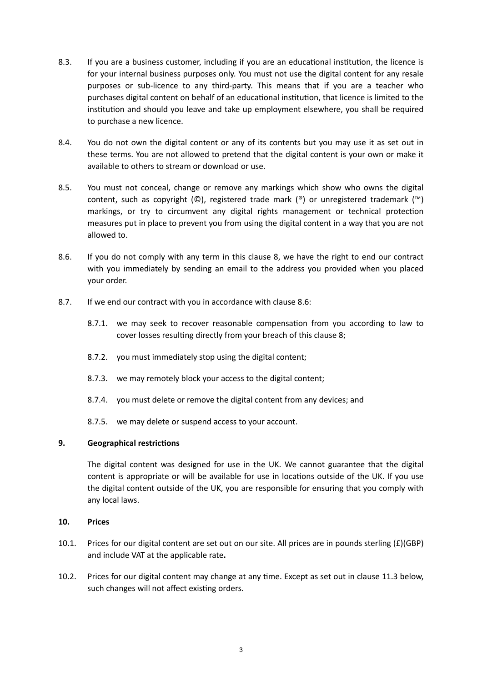- 8.3. If you are a business customer, including if you are an educational institution, the licence is for your internal business purposes only. You must not use the digital content for any resale purposes or sub-licence to any third-party. This means that if you are a teacher who purchases digital content on behalf of an educational institution, that licence is limited to the institution and should you leave and take up employment elsewhere, you shall be required to purchase a new licence.
- 8.4. You do not own the digital content or any of its contents but you may use it as set out in these terms. You are not allowed to pretend that the digital content is your own or make it available to others to stream or download or use.
- 8.5. You must not conceal, change or remove any markings which show who owns the digital content, such as copyright (©), registered trade mark (®) or unregistered trademark (™) markings, or try to circumvent any digital rights management or technical protection measures put in place to prevent you from using the digital content in a way that you are not allowed to.
- 8.6. If you do not comply with any term in this clause [8](#page-1-0), we have the right to end our contract with you immediately by sending an email to the address you provided when you placed your order.
- <span id="page-2-0"></span>8.7. If we end our contract with you in accordance with clause [8.6](#page-2-0):
	- 8.7.1. we may seek to recover reasonable compensation from you according to law to cover losses resulting directly from your breach of this clause [8;](#page-1-0)
	- 8.7.2. you must immediately stop using the digital content;
	- 8.7.3. we may remotely block your access to the digital content;
	- 8.7.4. you must delete or remove the digital content from any devices; and
	- 8.7.5. we may delete or suspend access to your account.

#### **9. Geographical restrictions**

The digital content was designed for use in the UK. We cannot guarantee that the digital content is appropriate or will be available for use in locations outside of the UK. If you use the digital content outside of the UK, you are responsible for ensuring that you comply with any local laws.

#### **10. Prices**

- 10.1. Prices for our digital content are set out on our site. All prices are in pounds sterling  $(E)(GBP)$ and include VAT at the applicable rate**.**
- 10.2. Prices for our digital content may change at any time. Except as set out in clause [11.3](#page-3-0) below, such changes will not affect existing orders.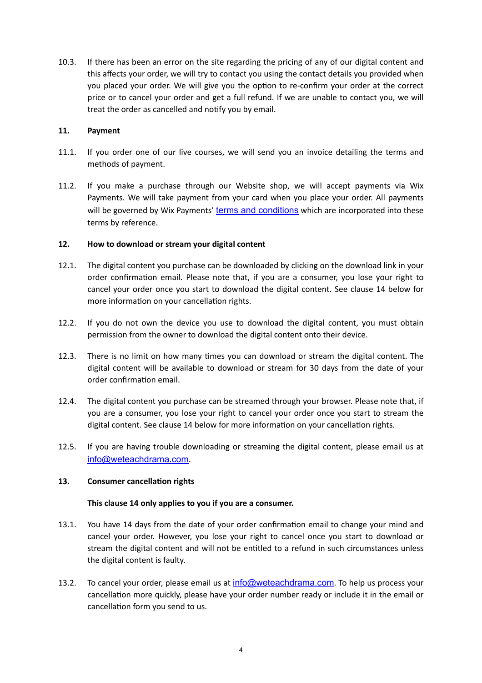10.3. If there has been an error on the site regarding the pricing of any of our digital content and this affects your order, we will try to contact you using the contact details you provided when you placed your order. We will give you the option to re-confirm your order at the correct price or to cancel your order and get a full refund. If we are unable to contact you, we will treat the order as cancelled and notify you by email.

### <span id="page-3-0"></span>**11. Payment**

- 11.1. If you order one of our live courses, we will send you an invoice detailing the terms and methods of payment.
- 11.2. If you make a purchase through our Website shop, we will accept payments via Wix Payments. We will take payment from your card when you place your order. All payments will be governed by Wix Payments' [terms and conditions](https://www.wix.com/about/terms-of-payments) which are incorporated into these terms by reference.

## **12. How to download or stream your digital content**

- 12.1. The digital content you purchase can be downloaded by clicking on the download link in your order confirmation email. Please note that, if you are a consumer, you lose your right to cancel your order once you start to download the digital content. See clause [14](#page-3-1) below for more information on your cancellation rights.
- 12.2. If you do not own the device you use to download the digital content, you must obtain permission from the owner to download the digital content onto their device.
- 12.3. There is no limit on how many times you can download or stream the digital content. The digital content will be available to download or stream for 30 days from the date of your order confirmation email.
- 12.4. The digital content you purchase can be streamed through your browser. Please note that, if you are a consumer, you lose your right to cancel your order once you start to stream the digital content. See clause [14](#page-3-1) below for more information on your cancellation rights.
- 12.5. If you are having trouble downloading or streaming the digital content, please email us at [info@weteachdrama.com](mailto:info@weteachdrama.com).

#### **13. Consumer cancellation rights**

#### <span id="page-3-1"></span>**This clause [14](#page-3-1) only applies to you if you are a consumer.**

- 13.1. You have 14 days from the date of your order confirmation email to change your mind and cancel your order. However, you lose your right to cancel once you start to download or stream the digital content and will not be entitled to a refund in such circumstances unless the digital content is faulty.
- 13.2. To cancel your order, please email us at [info@weteachdrama.com](mailto:info@weteachdrama.com). To help us process your cancellation more quickly, please have your order number ready or include it in the email or cancellation form you send to us.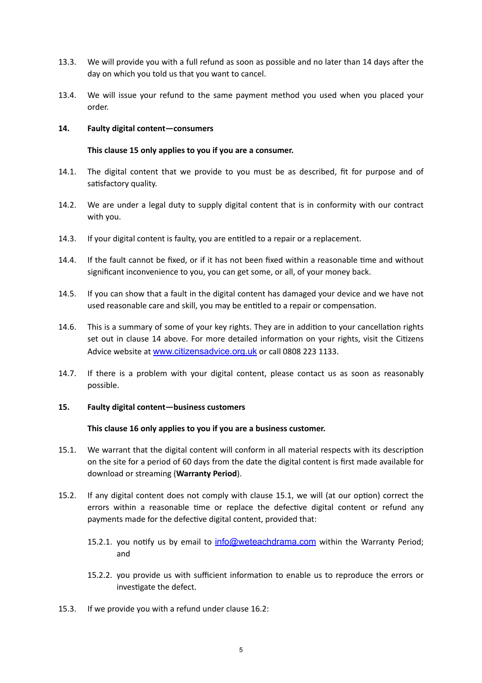- 13.3. We will provide you with a full refund as soon as possible and no later than 14 days after the day on which you told us that you want to cancel.
- 13.4. We will issue your refund to the same payment method you used when you placed your order.

#### **14. Faulty digital content—consumers**

### <span id="page-4-0"></span>**This clause [15](#page-4-0) only applies to you if you are a consumer.**

- 14.1. The digital content that we provide to you must be as described, fit for purpose and of satisfactory quality.
- 14.2. We are under a legal duty to supply digital content that is in conformity with our contract with you.
- 14.3. If your digital content is faulty, you are entitled to a repair or a replacement.
- 14.4. If the fault cannot be fixed, or if it has not been fixed within a reasonable time and without significant inconvenience to you, you can get some, or all, of your money back.
- 14.5. If you can show that a fault in the digital content has damaged your device and we have not used reasonable care and skill, you may be entitled to a repair or compensation.
- 14.6. This is a summary of some of your key rights. They are in addition to your cancellation rights set out in clause [14](#page-3-1) above. For more detailed information on your rights, visit the Citizens Advice website at www.citizensadvice.org.uk or call 0808 223 1133.
- 14.7. If there is a problem with your digital content, please contact us as soon as reasonably possible.

#### **15. Faulty digital content—business customers**

#### <span id="page-4-3"></span><span id="page-4-2"></span><span id="page-4-1"></span>**This clause [16](#page-4-1) only applies to you if you are a business customer.**

- 15.1. We warrant that the digital content will conform in all material respects with its description on the site for a period of 60 days from the date the digital content is first made available for download or streaming (**Warranty Period**).
- 15.2. If any digital content does not comply with clause [15.1,](#page-4-2) we will (at our option) correct the errors within a reasonable time or replace the defective digital content or refund any payments made for the defective digital content, provided that:
	- 15.2.1. you notify us by email to [info@weteachdrama.com](mailto:info@weteachdrama.com) within the Warranty Period; and
	- 15.2.2. you provide us with sufficient information to enable us to reproduce the errors or investigate the defect.
- 15.3. If we provide you with a refund under clause [16.2](#page-4-3):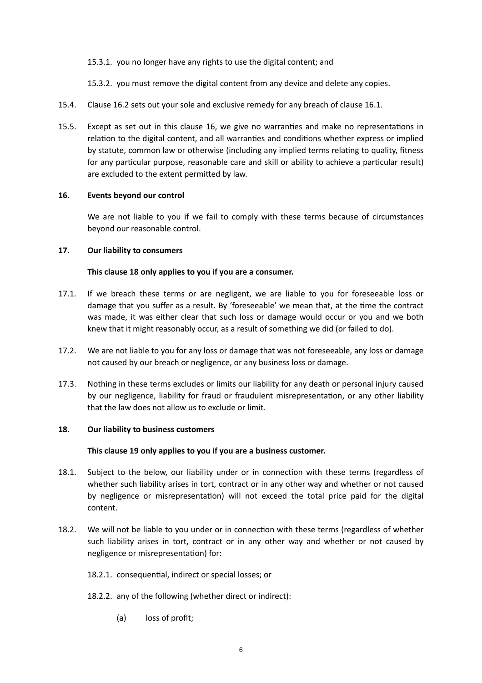15.3.1. you no longer have any rights to use the digital content; and

15.3.2. you must remove the digital content from any device and delete any copies.

- 15.4. Clause [16.2](#page-4-3) sets out your sole and exclusive remedy for any breach of clause [16.1.](#page-4-2)
- 15.5. Except as set out in this clause [16](#page-4-1), we give no warranties and make no representations in relation to the digital content, and all warranties and conditions whether express or implied by statute, common law or otherwise (including any implied terms relating to quality, fitness for any particular purpose, reasonable care and skill or ability to achieve a particular result) are excluded to the extent permitted by law.

#### **16. Events beyond our control**

We are not liable to you if we fail to comply with these terms because of circumstances beyond our reasonable control.

## **17. Our liability to consumers**

## <span id="page-5-0"></span>**This clause [18](#page-5-0) only applies to you if you are a consumer.**

- 17.1. If we breach these terms or are negligent, we are liable to you for foreseeable loss or damage that you suffer as a result. By 'foreseeable' we mean that, at the time the contract was made, it was either clear that such loss or damage would occur or you and we both knew that it might reasonably occur, as a result of something we did (or failed to do).
- 17.2. We are not liable to you for any loss or damage that was not foreseeable, any loss or damage not caused by our breach or negligence, or any business loss or damage.
- 17.3. Nothing in these terms excludes or limits our liability for any death or personal injury caused by our negligence, liability for fraud or fraudulent misrepresentation, or any other liability that the law does not allow us to exclude or limit.

#### **18. Our liability to business customers**

#### <span id="page-5-1"></span>**This clause [19](#page-5-1) only applies to you if you are a business customer.**

- 18.1. Subject to the below, our liability under or in connection with these terms (regardless of whether such liability arises in tort, contract or in any other way and whether or not caused by negligence or misrepresentation) will not exceed the total price paid for the digital content.
- 18.2. We will not be liable to you under or in connection with these terms (regardless of whether such liability arises in tort, contract or in any other way and whether or not caused by negligence or misrepresentation) for:
	- 18.2.1. consequential, indirect or special losses; or
	- 18.2.2. any of the following (whether direct or indirect):
		- (a) loss of profit;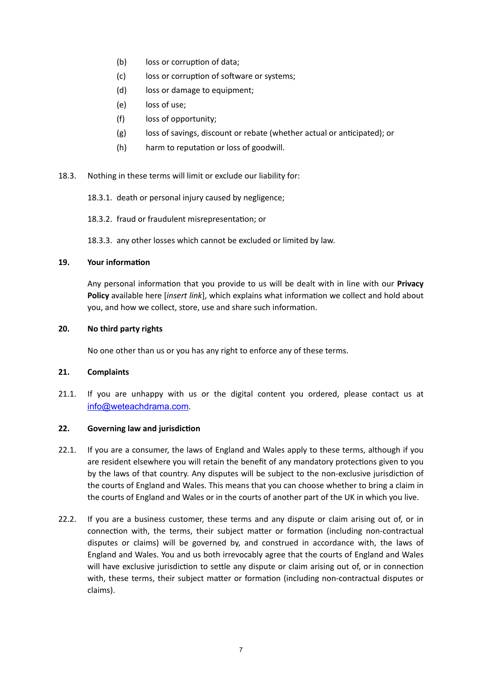- (b) loss or corruption of data:
- (c) loss or corruption of software or systems;
- (d) loss or damage to equipment;
- (e) loss of use;
- (f) loss of opportunity;
- (g) loss of savings, discount or rebate (whether actual or anticipated); or
- (h) harm to reputation or loss of goodwill.
- 18.3. Nothing in these terms will limit or exclude our liability for:
	- 18.3.1. death or personal injury caused by negligence;
	- 18.3.2. fraud or fraudulent misrepresentation; or
	- 18.3.3. any other losses which cannot be excluded or limited by law.

#### **19. Your information**

Any personal information that you provide to us will be dealt with in line with our **Privacy Policy** available here [*insert link*], which explains what information we collect and hold about you, and how we collect, store, use and share such information.

#### **20. No third party rights**

No one other than us or you has any right to enforce any of these terms.

#### **21. Complaints**

21.1. If you are unhappy with us or the digital content you ordered, please contact us at [info@weteachdrama.com](mailto:info@weteachdrama.com).

#### **22. Governing law and jurisdiction**

- 22.1. If you are a consumer, the laws of England and Wales apply to these terms, although if you are resident elsewhere you will retain the benefit of any mandatory protections given to you by the laws of that country. Any disputes will be subject to the non-exclusive jurisdiction of the courts of England and Wales. This means that you can choose whether to bring a claim in the courts of England and Wales or in the courts of another part of the UK in which you live.
- 22.2. If you are a business customer, these terms and any dispute or claim arising out of, or in connection with, the terms, their subject matter or formation (including non-contractual disputes or claims) will be governed by, and construed in accordance with, the laws of England and Wales. You and us both irrevocably agree that the courts of England and Wales will have exclusive jurisdiction to settle any dispute or claim arising out of, or in connection with, these terms, their subject matter or formation (including non-contractual disputes or claims).